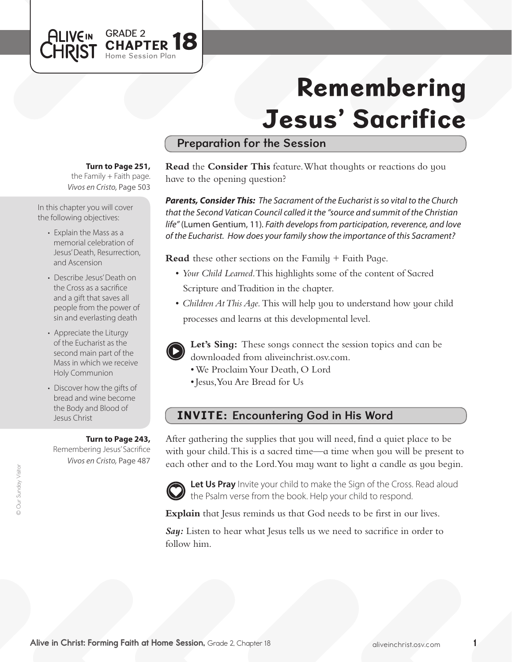# Remembering Jesus' Sacrifice

# Preparation for the Session

**Turn to Page 251,** 

*Vivos en Cristo,* Page 503 the Family  $+$  Faith page.

In this chapter you will cover the following objectives:

- Explain the Mass as a memorial celebration of Jesus' Death, Resurrection, and Ascension
- Describe Jesus'Death on the Cross as a sacrifice and a gift that saves all people from the power of sin and everlasting death
- Appreciate the Liturgy of the Eucharist as the second main part of the Mass in which we receive Holy Communion
- Discover how the gifts of bread and wine become the Body and Blood of Jesus Christ

#### **Turn to Page 243,**

Remembering Jesus' Sacrifice *Vivos en Cristo,* Page 487

**Read** the **Consider This** feature. What thoughts or reactions do you have to the opening question?

*Parents, Consider This: The Sacrament of the Eucharist is so vital to the Church that the Second Vatican Council called it the "source and summit of the Christian life"* (Lumen Gentium, 11)*. Faith develops from participation, reverence, and love of the Eucharist. How does your family show the importance of this Sacrament?* 

**Read** these other sections on the Family + Faith Page.

- • *Your Child Learned*. This highlights some of the content of Sacred Scripture and Tradition in the chapter.
- *Children At This Aqe*. This will help you to understand how your child processes and learns at this developmental level.



**Let's Sing:** These songs connect the session topics and can be downloaded from aliveinchrist.osv.com.

- • We ProclaimYour Death, O Lord
- Jesus, You Are Bread for Us

#### INVITE: Encountering God in His Word

After gathering the supplies that you will need, find a quiet place to be with your child. This is a sacred time—a time when you will be present to each other and to the Lord.You may want to light a candle as you begin.



**Let Us Pray** Invite your child to make the Sign of the Cross. Read aloud the Psalm verse from the book. Help your child to respond.

**Explain** that Jesus reminds us that God needs to be first in our lives.

*Say:* Listen to hear what Jesus tells us we need to sacrifice in order to follow him.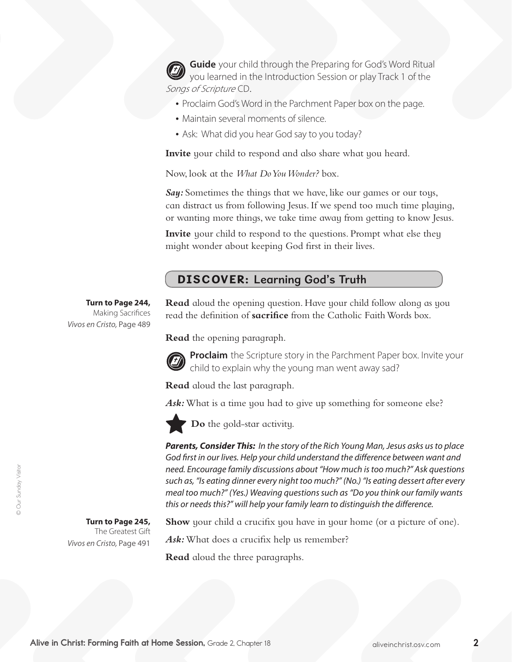**Guide** your child through the Preparing for God's Word Ritual you learned in the Introduction Session or play Track 1 of the Songs of Scripture CD.

- Proclaim God's Word in the Parchment Paper box on the page.
- Maintain several moments of silence.
- Ask: What did you hear God say to you today?

**Invite** your child to respond and also share what you heard.

Now, look at the *What Do You Wonder?* box.

**Say:** Sometimes the things that we have, like our games or our toys, can distract us from following Jesus. If we spend too much time playing, or wanting more things, we take time away from getting to know Jesus.

**Invite** your child to respond to the questions. Prompt what else they might wonder about keeping God first in their lives.

# DISCOVER: Learning God's Truth

**Turn to Page 244,** Making Sacrifices *Vivos en Cristo,* Page 489

**Read** aloud the opening question. Have your child follow along as you read the definition of **sacrifice** from the Catholic Faith Words box.

**Read** the opening paragraph.



**Proclaim** the Scripture story in the Parchment Paper box. Invite your child to explain why the young man went away sad?

**Read** aloud the last paragraph.

Ask: What is a time you had to give up something for someone else?



**Do** the gold-star activity.

*Parents, Consider This: In the story of the Rich Young Man, Jesus asks us to place God first in our lives. Help your child understand the difference between want and need. Encourage family discussions about "How much is too much?" Ask questions such as, "Is eating dinner every night too much?" (No.) "Is eating dessert after every meal too much?" (Yes.) Weaving questions such as "Do you think our family wants this or needs this?" will help your family learn to distinguish the difference.*

**Turn to Page 245,** 

The Greatest Gift *Vivos en Cristo,* Page 491

**Show** your child a crucifix you have in your home (or a picture of one).

Ask: What does a crucifix help us remember?

**Read** aloud the three paragraphs.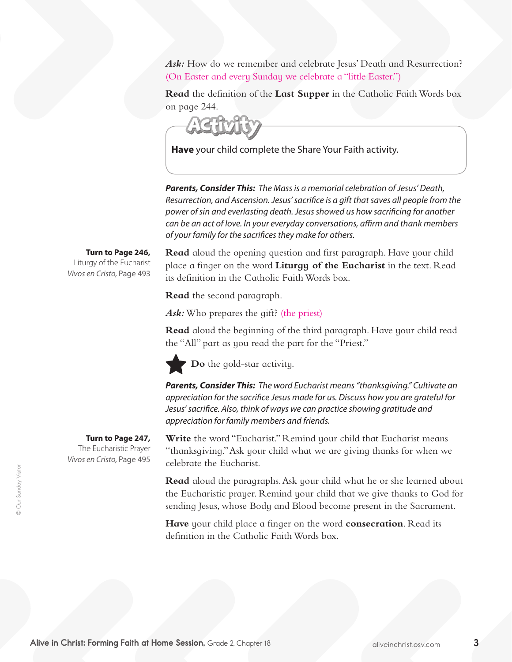Ask: How do we remember and celebrate Jesus' Death and Resurrection? (On Easter and every Sunday we celebrate a "little Easter.")

**Read** the definition of the **Last Supper** in the Catholic Faith Words box on page 244.

**Have** your child complete the Share Your Faith activity.

*Parents, Consider This: The Mass is a memorial celebration of Jesus' Death, Resurrection, and Ascension. Jesus' sacrifice is a gift that saves all people from the power of sin and everlasting death. Jesus showed us how sacrificing for another can be an act of love. In your everyday conversations, affirm and thank members of your family for the sacrifices they make for others.* 

**Turn to Page 246,**

Liturgy of the Eucharist *Vivos en Cristo,* Page 493 **Read** aloud the opening question and first paragraph. Have your child place a finger on the word **Liturgy of the Eucharist** in the text. Read its definition in the Catholic FaithWords box.

**Read** the second paragraph.

Ask: Who prepares the gift? (the priest)

**Read** aloud the beginning of the third paragraph. Have your child read the "All" part as you read the part for the "Priest."

**Do** the gold-star activity.

*Parents, Consider This: The word Eucharist means "thanksgiving." Cultivate an appreciation for the sacrifice Jesus made for us. Discuss how you are grateful for Jesus' sacrifice. Also, think of ways we can practice showing gratitude and appreciation for family members and friends.* 

**Write** the word "Eucharist." Remind your child that Eucharist means "thanksgiving."Ask your child what we are giving thanks for when we celebrate the Eucharist.

**Read** aloud the paragraphs.Ask your child what he or she learned about the Eucharistic prayer. Remind your child that we give thanks to God for sending Jesus, whose Body and Blood become present in the Sacrament.

**Have** your child place a finger on the word **consecration**. Read its definition in the Catholic Faith Words box.

#### **Turn to Page 247,**

The Eucharistic Prayer *Vivos en Cristo,* Page 495